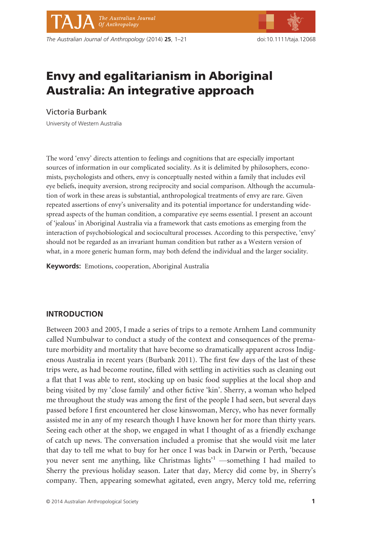



The Australian Journal of Anthropology (2014) 25, 1–21 doi:10.1111/taja.12068

# Envy and egalitarianism in Aboriginal Australia: An integrative approach

Victoria Burbank

University of Western Australia

The word 'envy' directs attention to feelings and cognitions that are especially important sources of information in our complicated sociality. As it is delimited by philosophers, economists, psychologists and others, envy is conceptually nested within a family that includes evil eye beliefs, inequity aversion, strong reciprocity and social comparison. Although the accumulation of work in these areas is substantial, anthropological treatments of envy are rare. Given repeated assertions of envy's universality and its potential importance for understanding widespread aspects of the human condition, a comparative eye seems essential. I present an account of 'jealous' in Aboriginal Australia via a framework that casts emotions as emerging from the interaction of psychobiological and sociocultural processes. According to this perspective, 'envy' should not be regarded as an invariant human condition but rather as a Western version of what, in a more generic human form, may both defend the individual and the larger sociality.

Keywords: Emotions, cooperation, Aboriginal Australia

## INTRODUCTION

Between 2003 and 2005, I made a series of trips to a remote Arnhem Land community called Numbulwar to conduct a study of the context and consequences of the premature morbidity and mortality that have become so dramatically apparent across Indigenous Australia in recent years (Burbank 2011). The first few days of the last of these trips were, as had become routine, filled with settling in activities such as cleaning out a flat that I was able to rent, stocking up on basic food supplies at the local shop and being visited by my 'close family' and other fictive 'kin'. Sherry, a woman who helped me throughout the study was among the first of the people I had seen, but several days passed before I first encountered her close kinswoman, Mercy, who has never formally assisted me in any of my research though I have known her for more than thirty years. Seeing each other at the shop, we engaged in what I thought of as a friendly exchange of catch up news. The conversation included a promise that she would visit me later that day to tell me what to buy for her once I was back in Darwin or Perth, 'because you never sent me anything, like Christmas lights<sup> $1$ </sup> —something I had mailed to Sherry the previous holiday season. Later that day, Mercy did come by, in Sherry's company. Then, appearing somewhat agitated, even angry, Mercy told me, referring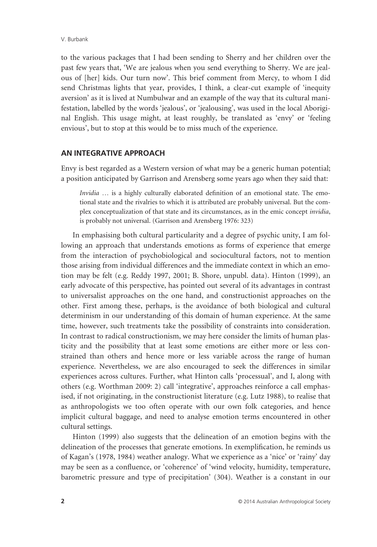to the various packages that I had been sending to Sherry and her children over the past few years that, 'We are jealous when you send everything to Sherry. We are jealous of [her] kids. Our turn now'. This brief comment from Mercy, to whom I did send Christmas lights that year, provides, I think, a clear-cut example of 'inequity aversion' as it is lived at Numbulwar and an example of the way that its cultural manifestation, labelled by the words 'jealous', or 'jealousing', was used in the local Aboriginal English. This usage might, at least roughly, be translated as 'envy' or 'feeling envious', but to stop at this would be to miss much of the experience.

### AN INTEGRATIVE APPROACH

Envy is best regarded as a Western version of what may be a generic human potential; a position anticipated by Garrison and Arensberg some years ago when they said that:

Invidia … is a highly culturally elaborated definition of an emotional state. The emotional state and the rivalries to which it is attributed are probably universal. But the complex conceptualization of that state and its circumstances, as in the emic concept invidia, is probably not universal. (Garrison and Arensberg 1976: 323)

In emphasising both cultural particularity and a degree of psychic unity, I am following an approach that understands emotions as forms of experience that emerge from the interaction of psychobiological and sociocultural factors, not to mention those arising from individual differences and the immediate context in which an emotion may be felt (e.g. Reddy 1997, 2001; B. Shore, unpubl. data). Hinton (1999), an early advocate of this perspective, has pointed out several of its advantages in contrast to universalist approaches on the one hand, and constructionist approaches on the other. First among these, perhaps, is the avoidance of both biological and cultural determinism in our understanding of this domain of human experience. At the same time, however, such treatments take the possibility of constraints into consideration. In contrast to radical constructionism, we may here consider the limits of human plasticity and the possibility that at least some emotions are either more or less constrained than others and hence more or less variable across the range of human experience. Nevertheless, we are also encouraged to seek the differences in similar experiences across cultures. Further, what Hinton calls 'processual', and I, along with others (e.g. Worthman 2009: 2) call 'integrative', approaches reinforce a call emphasised, if not originating, in the constructionist literature (e.g. Lutz 1988), to realise that as anthropologists we too often operate with our own folk categories, and hence implicit cultural baggage, and need to analyse emotion terms encountered in other cultural settings.

Hinton (1999) also suggests that the delineation of an emotion begins with the delineation of the processes that generate emotions. In exemplification, he reminds us of Kagan's (1978, 1984) weather analogy. What we experience as a 'nice' or 'rainy' day may be seen as a confluence, or 'coherence' of 'wind velocity, humidity, temperature, barometric pressure and type of precipitation' (304). Weather is a constant in our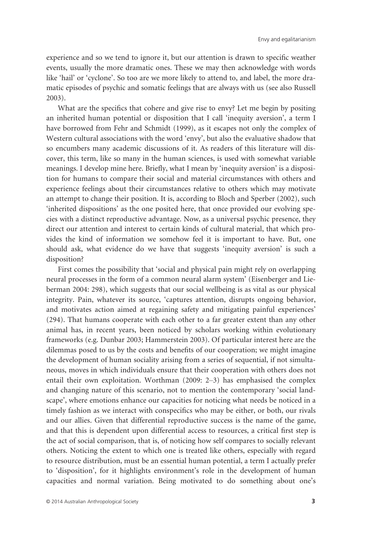experience and so we tend to ignore it, but our attention is drawn to specific weather events, usually the more dramatic ones. These we may then acknowledge with words like 'hail' or 'cyclone'. So too are we more likely to attend to, and label, the more dramatic episodes of psychic and somatic feelings that are always with us (see also Russell 2003).

What are the specifics that cohere and give rise to envy? Let me begin by positing an inherited human potential or disposition that I call 'inequity aversion', a term I have borrowed from Fehr and Schmidt (1999), as it escapes not only the complex of Western cultural associations with the word 'envy', but also the evaluative shadow that so encumbers many academic discussions of it. As readers of this literature will discover, this term, like so many in the human sciences, is used with somewhat variable meanings. I develop mine here. Briefly, what I mean by 'inequity aversion' is a disposition for humans to compare their social and material circumstances with others and experience feelings about their circumstances relative to others which may motivate an attempt to change their position. It is, according to Bloch and Sperber (2002), such 'inherited dispositions' as the one posited here, that once provided our evolving species with a distinct reproductive advantage. Now, as a universal psychic presence, they direct our attention and interest to certain kinds of cultural material, that which provides the kind of information we somehow feel it is important to have. But, one should ask, what evidence do we have that suggests 'inequity aversion' is such a disposition?

First comes the possibility that 'social and physical pain might rely on overlapping neural processes in the form of a common neural alarm system' (Eisenberger and Lieberman 2004: 298), which suggests that our social wellbeing is as vital as our physical integrity. Pain, whatever its source, 'captures attention, disrupts ongoing behavior, and motivates action aimed at regaining safety and mitigating painful experiences' (294). That humans cooperate with each other to a far greater extent than any other animal has, in recent years, been noticed by scholars working within evolutionary frameworks (e.g. Dunbar 2003; Hammerstein 2003). Of particular interest here are the dilemmas posed to us by the costs and benefits of our cooperation; we might imagine the development of human sociality arising from a series of sequential, if not simultaneous, moves in which individuals ensure that their cooperation with others does not entail their own exploitation. Worthman (2009: 2–3) has emphasised the complex and changing nature of this scenario, not to mention the contemporary 'social landscape', where emotions enhance our capacities for noticing what needs be noticed in a timely fashion as we interact with conspecifics who may be either, or both, our rivals and our allies. Given that differential reproductive success is the name of the game, and that this is dependent upon differential access to resources, a critical first step is the act of social comparison, that is, of noticing how self compares to socially relevant others. Noticing the extent to which one is treated like others, especially with regard to resource distribution, must be an essential human potential, a term I actually prefer to 'disposition', for it highlights environment's role in the development of human capacities and normal variation. Being motivated to do something about one's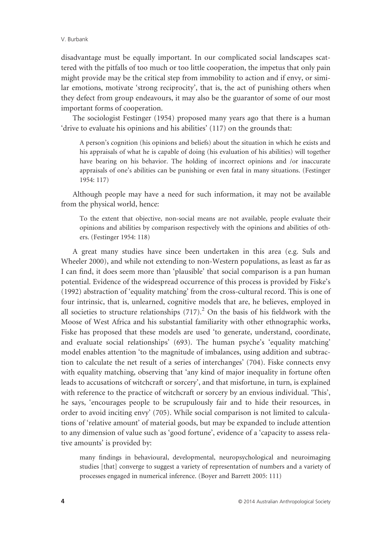disadvantage must be equally important. In our complicated social landscapes scattered with the pitfalls of too much or too little cooperation, the impetus that only pain might provide may be the critical step from immobility to action and if envy, or similar emotions, motivate 'strong reciprocity', that is, the act of punishing others when they defect from group endeavours, it may also be the guarantor of some of our most important forms of cooperation.

The sociologist Festinger (1954) proposed many years ago that there is a human 'drive to evaluate his opinions and his abilities' (117) on the grounds that:

A person's cognition (his opinions and beliefs) about the situation in which he exists and his appraisals of what he is capable of doing (his evaluation of his abilities) will together have bearing on his behavior. The holding of incorrect opinions and /or inaccurate appraisals of one's abilities can be punishing or even fatal in many situations. (Festinger 1954: 117)

Although people may have a need for such information, it may not be available from the physical world, hence:

To the extent that objective, non-social means are not available, people evaluate their opinions and abilities by comparison respectively with the opinions and abilities of others. (Festinger 1954: 118)

A great many studies have since been undertaken in this area (e.g. Suls and Wheeler 2000), and while not extending to non-Western populations, as least as far as I can find, it does seem more than 'plausible' that social comparison is a pan human potential. Evidence of the widespread occurrence of this process is provided by Fiske's (1992) abstraction of 'equality matching' from the cross-cultural record. This is one of four intrinsic, that is, unlearned, cognitive models that are, he believes, employed in all societies to structure relationships  $(717)$ .<sup>2</sup> On the basis of his fieldwork with the Moose of West Africa and his substantial familiarity with other ethnographic works, Fiske has proposed that these models are used 'to generate, understand, coordinate, and evaluate social relationships' (693). The human psyche's 'equality matching' model enables attention 'to the magnitude of imbalances, using addition and subtraction to calculate the net result of a series of interchanges' (704). Fiske connects envy with equality matching, observing that 'any kind of major inequality in fortune often leads to accusations of witchcraft or sorcery', and that misfortune, in turn, is explained with reference to the practice of witchcraft or sorcery by an envious individual. 'This', he says, 'encourages people to be scrupulously fair and to hide their resources, in order to avoid inciting envy' (705). While social comparison is not limited to calculations of 'relative amount' of material goods, but may be expanded to include attention to any dimension of value such as 'good fortune', evidence of a 'capacity to assess relative amounts' is provided by:

many findings in behavioural, developmental, neuropsychological and neuroimaging studies [that] converge to suggest a variety of representation of numbers and a variety of processes engaged in numerical inference. (Boyer and Barrett 2005: 111)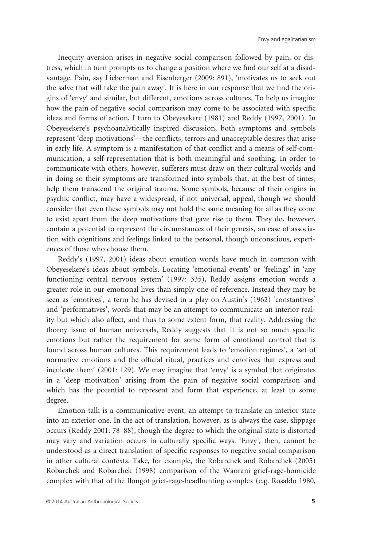Inequity aversion arises in negative social comparison followed by pain, or distress, which in turn prompts us to change a position where we find our self at a disadvantage. Pain, say Lieberman and Eisenberger (2009: 891), 'motivates us to seek out the salve that will take the pain away'. It is here in our response that we find the origins of 'envy' and similar, but different, emotions across cultures. To help us imagine how the pain of negative social comparison may come to be associated with specific ideas and forms of action, I turn to Obeyesekere (1981) and Reddy (1997, 2001). In Obeyesekere's psychoanalytically inspired discussion, both symptoms and symbols represent 'deep motivations'—the conflicts, terrors and unacceptable desires that arise in early life. A symptom is a manifestation of that conflict and a means of self-communication, a self-representation that is both meaningful and soothing. In order to communicate with others, however, sufferers must draw on their cultural worlds and in doing so their symptoms are transformed into symbols that, at the best of times, help them transcend the original trauma. Some symbols, because of their origins in psychic conflict, may have a widespread, if not universal, appeal, though we should consider that even these symbols may not hold the same meaning for all as they come to exist apart from the deep motivations that gave rise to them. They do, however, contain a potential to represent the circumstances of their genesis, an ease of association with cognitions and feelings linked to the personal, though unconscious, experiences of those who choose them.

Reddy's (1997, 2001) ideas about emotion words have much in common with Obeyesekere's ideas about symbols. Locating 'emotional events' or 'feelings' in 'any functioning central nervous system' (1997: 335), Reddy assigns emotion words a greater role in our emotional lives than simply one of reference. Instead they may be seen as 'emotives', a term he has devised in a play on Austin's (1962) 'constantives' and 'performatives', words that may be an attempt to communicate an interior reality but which also affect, and thus to some extent form, that reality. Addressing the thorny issue of human universals, Reddy suggests that it is not so much specific emotions but rather the requirement for some form of emotional control that is found across human cultures. This requirement leads to 'emotion regimes', a 'set of normative emotions and the official ritual, practices and emotives that express and inculcate them' (2001: 129). We may imagine that 'envy' is a symbol that originates in a 'deep motivation' arising from the pain of negative social comparison and which has the potential to represent and form that experience, at least to some degree.

Emotion talk is a communicative event, an attempt to translate an interior state into an exterior one. In the act of translation, however, as is always the case, slippage occurs (Reddy 2001: 78–88), though the degree to which the original state is distorted may vary and variation occurs in culturally specific ways. 'Envy', then, cannot be understood as a direct translation of specific responses to negative social comparison in other cultural contexts. Take, for example, the Robarchek and Robarchek (2005) Robarchek and Robarchek (1998) comparison of the Waorani grief-rage-homicide complex with that of the Ilongot grief-rage-headhunting complex (e.g. Rosaldo 1980,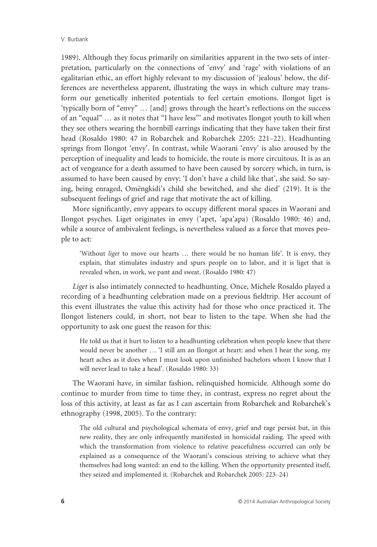1989). Although they focus primarily on similarities apparent in the two sets of interpretation, particularly on the connections of 'envy' and 'rage' with violations of an egalitarian ethic, an effort highly relevant to my discussion of 'jealous' below, the differences are nevertheless apparent, illustrating the ways in which culture may transform our genetically inherited potentials to feel certain emotions. Ilongot liget is 'typically born of "envy" … [and] grows through the heart's reflections on the success of an "equal" … as it notes that "I have less"' and motivates Ilongot youth to kill when they see others wearing the hornbill earrings indicating that they have taken their first head (Rosaldo 1980: 47 in Robarchek and Robarchek 2205: 221–22). Headhunting springs from Ilongot 'envy'. In contrast, while Waorani 'envy' is also aroused by the perception of inequality and leads to homicide, the route is more circuitous. It is as an act of vengeance for a death assumed to have been caused by sorcery which, in turn, is assumed to have been caused by envy: 'I don't have a child like that', she said. So saying, being enraged, Omëngkidi's child she bewitched, and she died' (219). It is the subsequent feelings of grief and rage that motivate the act of killing.

More significantly, envy appears to occupy different moral spaces in Waorani and Ilongot psyches. Liget originates in envy ('apet, 'apa'apa) (Rosaldo 1980: 46) and, while a source of ambivalent feelings, is nevertheless valued as a force that moves people to act:

'Without liget to move our hearts … there would be no human life'. It is envy, they explain, that stimulates industry and spurs people on to labor, and it is liget that is revealed when, in work, we pant and sweat. (Rosaldo 1980: 47)

Liget is also intimately connected to headhunting. Once, Michele Rosaldo played a recording of a headhunting celebration made on a previous fieldtrip. Her account of this event illustrates the value this activity had for those who once practiced it. The Ilongot listeners could, in short, not bear to listen to the tape. When she had the opportunity to ask one guest the reason for this:

He told us that it hurt to listen to a headhunting celebration when people knew that there would never be another … 'I still am an Ilongot at heart: and when I hear the song, my heart aches as it does when I must look upon unfinished bachelors whom I know that I will never lead to take a head'. (Rosaldo 1980: 33)

The Waorani have, in similar fashion, relinquished homicide. Although some do continue to murder from time to time they, in contrast, express no regret about the loss of this activity, at least as far as I can ascertain from Robarchek and Robarchek's ethnography (1998, 2005). To the contrary:

The old cultural and psychological schemata of envy, grief and rage persist but, in this new reality, they are only infrequently manifested in homicidal raiding. The speed with which the transformation from violence to relative peacefulness occurred can only be explained as a consequence of the Waorani's conscious striving to achieve what they themselves had long wanted: an end to the killing. When the opportunity presented itself, they seized and implemented it. (Robarchek and Robarchek 2005: 223–24)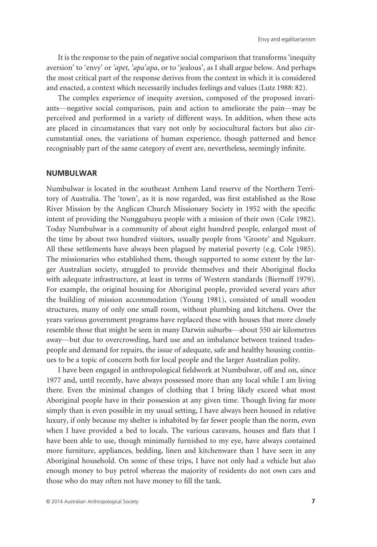It is the response to the pain of negative social comparison that transforms 'inequity aversion' to 'envy' or 'apet, 'apa'apa, or to 'jealous', as I shall argue below. And perhaps the most critical part of the response derives from the context in which it is considered and enacted, a context which necessarily includes feelings and values (Lutz 1988: 82).

The complex experience of inequity aversion, composed of the proposed invariants—negative social comparison, pain and action to ameliorate the pain—may be perceived and performed in a variety of different ways. In addition, when these acts are placed in circumstances that vary not only by sociocultural factors but also circumstantial ones, the variations of human experience, though patterned and hence recognisably part of the same category of event are, nevertheless, seemingly infinite.

#### NUMBULWAR

Numbulwar is located in the southeast Arnhem Land reserve of the Northern Territory of Australia. The 'town', as it is now regarded, was first established as the Rose River Mission by the Anglican Church Missionary Society in 1952 with the specific intent of providing the Nunggubuyu people with a mission of their own (Cole 1982). Today Numbulwar is a community of about eight hundred people, enlarged most of the time by about two hundred visitors, usually people from 'Groote' and Ngukurr. All these settlements have always been plagued by material poverty (e.g. Cole 1985). The missionaries who established them, though supported to some extent by the larger Australian society, struggled to provide themselves and their Aboriginal flocks with adequate infrastructure, at least in terms of Western standards (Biernoff 1979). For example, the original housing for Aboriginal people, provided several years after the building of mission accommodation (Young 1981), consisted of small wooden structures, many of only one small room, without plumbing and kitchens. Over the years various government programs have replaced these with houses that more closely resemble those that might be seen in many Darwin suburbs—about 550 air kilometres away—but due to overcrowding, hard use and an imbalance between trained tradespeople and demand for repairs, the issue of adequate, safe and healthy housing continues to be a topic of concern both for local people and the larger Australian polity.

I have been engaged in anthropological fieldwork at Numbulwar, off and on, since 1977 and, until recently, have always possessed more than any local while I am living there. Even the minimal changes of clothing that I bring likely exceed what most Aboriginal people have in their possession at any given time. Though living far more simply than is even possible in my usual setting, I have always been housed in relative luxury, if only because my shelter is inhabited by far fewer people than the norm, even when I have provided a bed to locals. The various caravans, houses and flats that I have been able to use, though minimally furnished to my eye, have always contained more furniture, appliances, bedding, linen and kitchenware than I have seen in any Aboriginal household. On some of these trips, I have not only had a vehicle but also enough money to buy petrol whereas the majority of residents do not own cars and those who do may often not have money to fill the tank.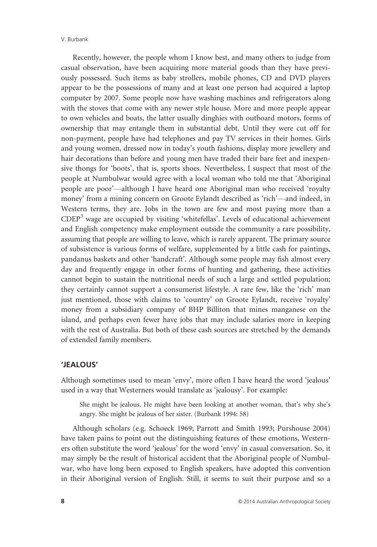V. Burbank

Recently, however, the people whom I know best, and many others to judge from casual observation, have been acquiring more material goods than they have previously possessed. Such items as baby strollers, mobile phones, CD and DVD players appear to be the possessions of many and at least one person had acquired a laptop computer by 2007. Some people now have washing machines and refrigerators along with the stoves that come with any newer style house. More and more people appear to own vehicles and boats, the latter usually dinghies with outboard motors, forms of ownership that may entangle them in substantial debt. Until they were cut off for non-payment, people have had telephones and pay TV services in their homes. Girls and young women, dressed now in today's youth fashions, display more jewellery and hair decorations than before and young men have traded their bare feet and inexpensive thongs for 'boots', that is, sports shoes. Nevertheless, I suspect that most of the people at Numbulwar would agree with a local woman who told me that 'Aboriginal people are poor'—although I have heard one Aboriginal man who received 'royalty money' from a mining concern on Groote Eylandt described as 'rich'—and indeed, in Western terms, they are. Jobs in the town are few and most paying more than a CDEP<sup>3</sup> wage are occupied by visiting 'whitefellas'. Levels of educational achievement and English competency make employment outside the community a rare possibility, assuming that people are willing to leave, which is rarely apparent. The primary source of subsistence is various forms of welfare, supplemented by a little cash for paintings, pandanus baskets and other 'handcraft'. Although some people may fish almost every day and frequently engage in other forms of hunting and gathering, these activities cannot begin to sustain the nutritional needs of such a large and settled population; they certainly cannot support a consumerist lifestyle. A rare few, like the 'rich' man just mentioned, those with claims to 'country' on Groote Eylandt, receive 'royalty' money from a subsidiary company of BHP Billiton that mines manganese on the island, and perhaps even fewer have jobs that may include salaries more in keeping with the rest of Australia. But both of these cash sources are stretched by the demands of extended family members.

## 'JEALOUS'

Although sometimes used to mean 'envy', more often I have heard the word 'jealous' used in a way that Westerners would translate as 'jealousy'. For example:

She might be jealous. He might have been looking at another woman, that's why she's angry. She might be jealous of her sister. (Burbank 1994: 58)

Although scholars (e.g. Schoeck 1969; Parrott and Smith 1993; Purshouse 2004) have taken pains to point out the distinguishing features of these emotions, Westerners often substitute the word 'jealous' for the word 'envy' in casual conversation. So, it may simply be the result of historical accident that the Aboriginal people of Numbulwar, who have long been exposed to English speakers, have adopted this convention in their Aboriginal version of English. Still, it seems to suit their purpose and so a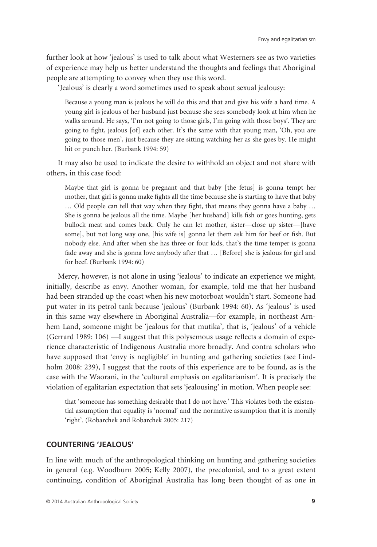further look at how 'jealous' is used to talk about what Westerners see as two varieties of experience may help us better understand the thoughts and feelings that Aboriginal people are attempting to convey when they use this word.

'Jealous' is clearly a word sometimes used to speak about sexual jealousy:

Because a young man is jealous he will do this and that and give his wife a hard time. A young girl is jealous of her husband just because she sees somebody look at him when he walks around. He says, 'I'm not going to those girls, I'm going with those boys'. They are going to fight, jealous [of] each other. It's the same with that young man, 'Oh, you are going to those men', just because they are sitting watching her as she goes by. He might hit or punch her. (Burbank 1994: 59)

It may also be used to indicate the desire to withhold an object and not share with others, in this case food:

Maybe that girl is gonna be pregnant and that baby [the fetus] is gonna tempt her mother, that girl is gonna make fights all the time because she is starting to have that baby … Old people can tell that way when they fight, that means they gonna have a baby … She is gonna be jealous all the time. Maybe [her husband] kills fish or goes hunting, gets bullock meat and comes back. Only he can let mother, sister—close up sister—[have some], but not long way one, [his wife is] gonna let them ask him for beef or fish. But nobody else. And after when she has three or four kids, that's the time temper is gonna fade away and she is gonna love anybody after that … [Before] she is jealous for girl and for beef. (Burbank 1994: 60)

Mercy, however, is not alone in using 'jealous' to indicate an experience we might, initially, describe as envy. Another woman, for example, told me that her husband had been stranded up the coast when his new motorboat wouldn't start. Someone had put water in its petrol tank because 'jealous' (Burbank 1994: 60). As 'jealous' is used in this same way elsewhere in Aboriginal Australia—for example, in northeast Arnhem Land, someone might be 'jealous for that mutika', that is, 'jealous' of a vehicle (Gerrard 1989: 106) —I suggest that this polysemous usage reflects a domain of experience characteristic of Indigenous Australia more broadly. And contra scholars who have supposed that 'envy is negligible' in hunting and gathering societies (see Lindholm 2008: 239), I suggest that the roots of this experience are to be found, as is the case with the Waorani, in the 'cultural emphasis on egalitarianism'. It is precisely the violation of egalitarian expectation that sets 'jealousing' in motion. When people see:

that 'someone has something desirable that I do not have.' This violates both the existential assumption that equality is 'normal' and the normative assumption that it is morally 'right'. (Robarchek and Robarchek 2005: 217)

# COUNTERING 'JEALOUS'

In line with much of the anthropological thinking on hunting and gathering societies in general (e.g. Woodburn 2005; Kelly 2007), the precolonial, and to a great extent continuing, condition of Aboriginal Australia has long been thought of as one in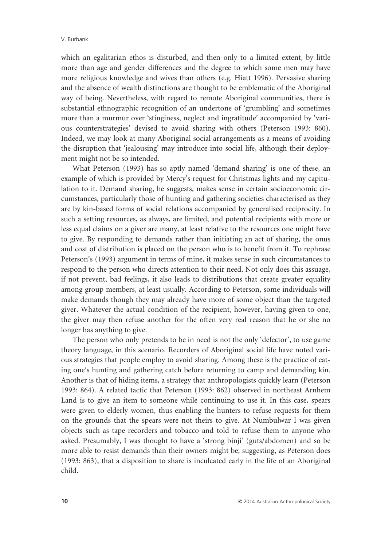which an egalitarian ethos is disturbed, and then only to a limited extent, by little more than age and gender differences and the degree to which some men may have more religious knowledge and wives than others (e.g. Hiatt 1996). Pervasive sharing and the absence of wealth distinctions are thought to be emblematic of the Aboriginal way of being. Nevertheless, with regard to remote Aboriginal communities, there is substantial ethnographic recognition of an undertone of 'grumbling' and sometimes more than a murmur over 'stinginess, neglect and ingratitude' accompanied by 'various counterstrategies' devised to avoid sharing with others (Peterson 1993: 860). Indeed, we may look at many Aboriginal social arrangements as a means of avoiding the disruption that 'jealousing' may introduce into social life, although their deployment might not be so intended.

What Peterson (1993) has so aptly named 'demand sharing' is one of these, an example of which is provided by Mercy's request for Christmas lights and my capitulation to it. Demand sharing, he suggests, makes sense in certain socioeconomic circumstances, particularly those of hunting and gathering societies characterised as they are by kin-based forms of social relations accompanied by generalised reciprocity. In such a setting resources, as always, are limited, and potential recipients with more or less equal claims on a giver are many, at least relative to the resources one might have to give. By responding to demands rather than initiating an act of sharing, the onus and cost of distribution is placed on the person who is to benefit from it. To rephrase Peterson's (1993) argument in terms of mine, it makes sense in such circumstances to respond to the person who directs attention to their need. Not only does this assuage, if not prevent, bad feelings, it also leads to distributions that create greater equality among group members, at least usually. According to Peterson, some individuals will make demands though they may already have more of some object than the targeted giver. Whatever the actual condition of the recipient, however, having given to one, the giver may then refuse another for the often very real reason that he or she no longer has anything to give.

The person who only pretends to be in need is not the only 'defector', to use game theory language, in this scenario. Recorders of Aboriginal social life have noted various strategies that people employ to avoid sharing. Among these is the practice of eating one's hunting and gathering catch before returning to camp and demanding kin. Another is that of hiding items, a strategy that anthropologists quickly learn (Peterson 1993: 864). A related tactic that Peterson (1993: 862) observed in northeast Arnhem Land is to give an item to someone while continuing to use it. In this case, spears were given to elderly women, thus enabling the hunters to refuse requests for them on the grounds that the spears were not theirs to give. At Numbulwar I was given objects such as tape recorders and tobacco and told to refuse them to anyone who asked. Presumably, I was thought to have a 'strong binji' (guts/abdomen) and so be more able to resist demands than their owners might be, suggesting, as Peterson does (1993: 863), that a disposition to share is inculcated early in the life of an Aboriginal child.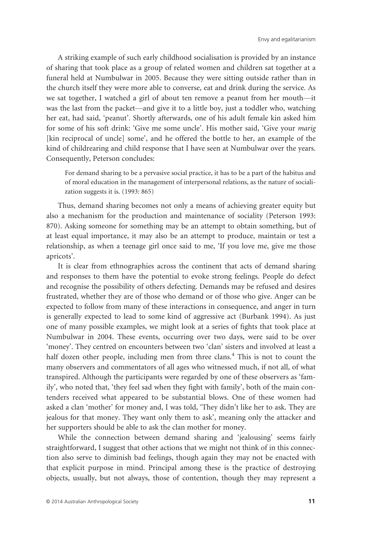A striking example of such early childhood socialisation is provided by an instance of sharing that took place as a group of related women and children sat together at a funeral held at Numbulwar in 2005. Because they were sitting outside rather than in the church itself they were more able to converse, eat and drink during the service. As we sat together, I watched a girl of about ten remove a peanut from her mouth—it was the last from the packet—and give it to a little boy, just a toddler who, watching her eat, had said, 'peanut'. Shortly afterwards, one of his adult female kin asked him for some of his soft drink: 'Give me some uncle'. His mother said, 'Give your marig [kin reciprocal of uncle] some', and he offered the bottle to her, an example of the kind of childrearing and child response that I have seen at Numbulwar over the years. Consequently, Peterson concludes:

For demand sharing to be a pervasive social practice, it has to be a part of the habitus and of moral education in the management of interpersonal relations, as the nature of socialization suggests it is. (1993: 865)

Thus, demand sharing becomes not only a means of achieving greater equity but also a mechanism for the production and maintenance of sociality (Peterson 1993: 870). Asking someone for something may be an attempt to obtain something, but of at least equal importance, it may also be an attempt to produce, maintain or test a relationship, as when a teenage girl once said to me, 'If you love me, give me those apricots'.

It is clear from ethnographies across the continent that acts of demand sharing and responses to them have the potential to evoke strong feelings. People do defect and recognise the possibility of others defecting. Demands may be refused and desires frustrated, whether they are of those who demand or of those who give. Anger can be expected to follow from many of these interactions in consequence, and anger in turn is generally expected to lead to some kind of aggressive act (Burbank 1994). As just one of many possible examples, we might look at a series of fights that took place at Numbulwar in 2004. These events, occurring over two days, were said to be over 'money'. They centred on encounters between two 'clan' sisters and involved at least a half dozen other people, including men from three clans.<sup>4</sup> This is not to count the many observers and commentators of all ages who witnessed much, if not all, of what transpired. Although the participants were regarded by one of these observers as 'family', who noted that, 'they feel sad when they fight with family', both of the main contenders received what appeared to be substantial blows. One of these women had asked a clan 'mother' for money and, I was told, 'They didn't like her to ask. They are jealous for that money. They want only them to ask', meaning only the attacker and her supporters should be able to ask the clan mother for money.

While the connection between demand sharing and 'jealousing' seems fairly straightforward, I suggest that other actions that we might not think of in this connection also serve to diminish bad feelings, though again they may not be enacted with that explicit purpose in mind. Principal among these is the practice of destroying objects, usually, but not always, those of contention, though they may represent a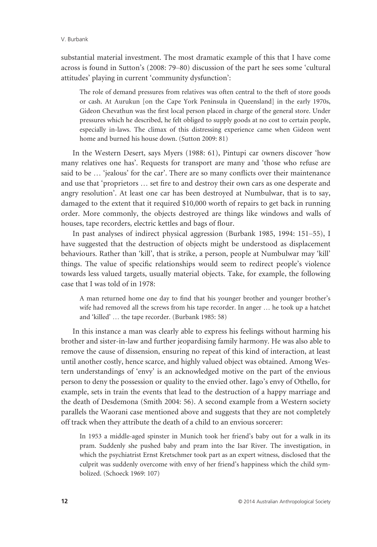substantial material investment. The most dramatic example of this that I have come across is found in Sutton's (2008: 79–80) discussion of the part he sees some 'cultural attitudes' playing in current 'community dysfunction':

The role of demand pressures from relatives was often central to the theft of store goods or cash. At Aurukun [on the Cape York Peninsula in Queensland] in the early 1970s, Gideon Chevathun was the first local person placed in charge of the general store. Under pressures which he described, he felt obliged to supply goods at no cost to certain people, especially in-laws. The climax of this distressing experience came when Gideon went home and burned his house down. (Sutton 2009: 81)

In the Western Desert, says Myers (1988: 61), Pintupi car owners discover 'how many relatives one has'. Requests for transport are many and 'those who refuse are said to be … 'jealous' for the car'. There are so many conflicts over their maintenance and use that 'proprietors … set fire to and destroy their own cars as one desperate and angry resolution'. At least one car has been destroyed at Numbulwar, that is to say, damaged to the extent that it required \$10,000 worth of repairs to get back in running order. More commonly, the objects destroyed are things like windows and walls of houses, tape recorders, electric kettles and bags of flour.

In past analyses of indirect physical aggression (Burbank 1985, 1994: 151–55), I have suggested that the destruction of objects might be understood as displacement behaviours. Rather than 'kill', that is strike, a person, people at Numbulwar may 'kill' things. The value of specific relationships would seem to redirect people's violence towards less valued targets, usually material objects. Take, for example, the following case that I was told of in 1978:

A man returned home one day to find that his younger brother and younger brother's wife had removed all the screws from his tape recorder. In anger … he took up a hatchet and 'killed' … the tape recorder. (Burbank 1985: 58)

In this instance a man was clearly able to express his feelings without harming his brother and sister-in-law and further jeopardising family harmony. He was also able to remove the cause of dissension, ensuring no repeat of this kind of interaction, at least until another costly, hence scarce, and highly valued object was obtained. Among Western understandings of 'envy' is an acknowledged motive on the part of the envious person to deny the possession or quality to the envied other. Iago's envy of Othello, for example, sets in train the events that lead to the destruction of a happy marriage and the death of Desdemona (Smith 2004: 56). A second example from a Western society parallels the Waorani case mentioned above and suggests that they are not completely off track when they attribute the death of a child to an envious sorcerer:

In 1953 a middle-aged spinster in Munich took her friend's baby out for a walk in its pram. Suddenly she pushed baby and pram into the Isar River. The investigation, in which the psychiatrist Ernst Kretschmer took part as an expert witness, disclosed that the culprit was suddenly overcome with envy of her friend's happiness which the child symbolized. (Schoeck 1969: 107)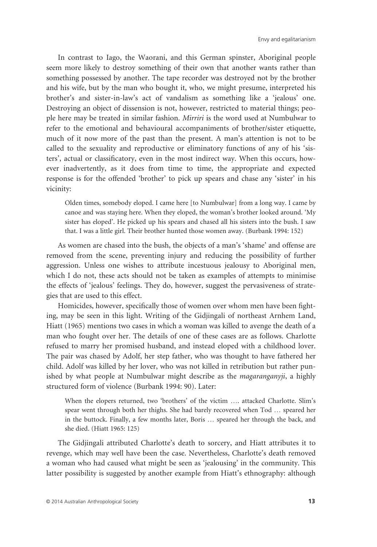In contrast to Iago, the Waorani, and this German spinster, Aboriginal people seem more likely to destroy something of their own that another wants rather than something possessed by another. The tape recorder was destroyed not by the brother and his wife, but by the man who bought it, who, we might presume, interpreted his brother's and sister-in-law's act of vandalism as something like a 'jealous' one. Destroying an object of dissension is not, however, restricted to material things; people here may be treated in similar fashion. Mirriri is the word used at Numbulwar to refer to the emotional and behavioural accompaniments of brother/sister etiquette, much of it now more of the past than the present. A man's attention is not to be called to the sexuality and reproductive or eliminatory functions of any of his 'sisters', actual or classificatory, even in the most indirect way. When this occurs, however inadvertently, as it does from time to time, the appropriate and expected response is for the offended 'brother' to pick up spears and chase any 'sister' in his vicinity:

Olden times, somebody eloped. I came here [to Numbulwar] from a long way. I came by canoe and was staying here. When they eloped, the woman's brother looked around. 'My sister has eloped'. He picked up his spears and chased all his sisters into the bush. I saw that. I was a little girl. Their brother hunted those women away. (Burbank 1994: 152)

As women are chased into the bush, the objects of a man's 'shame' and offense are removed from the scene, preventing injury and reducing the possibility of further aggression. Unless one wishes to attribute incestuous jealousy to Aboriginal men, which I do not, these acts should not be taken as examples of attempts to minimise the effects of 'jealous' feelings. They do, however, suggest the pervasiveness of strategies that are used to this effect.

Homicides, however, specifically those of women over whom men have been fighting, may be seen in this light. Writing of the Gidjingali of northeast Arnhem Land, Hiatt (1965) mentions two cases in which a woman was killed to avenge the death of a man who fought over her. The details of one of these cases are as follows. Charlotte refused to marry her promised husband, and instead eloped with a childhood lover. The pair was chased by Adolf, her step father, who was thought to have fathered her child. Adolf was killed by her lover, who was not killed in retribution but rather punished by what people at Numbulwar might describe as the magaranganyji, a highly structured form of violence (Burbank 1994: 90). Later:

When the elopers returned, two 'brothers' of the victim …. attacked Charlotte. Slim's spear went through both her thighs. She had barely recovered when Tod … speared her in the buttock. Finally, a few months later, Boris … speared her through the back, and she died. (Hiatt 1965: 125)

The Gidjingali attributed Charlotte's death to sorcery, and Hiatt attributes it to revenge, which may well have been the case. Nevertheless, Charlotte's death removed a woman who had caused what might be seen as 'jealousing' in the community. This latter possibility is suggested by another example from Hiatt's ethnography: although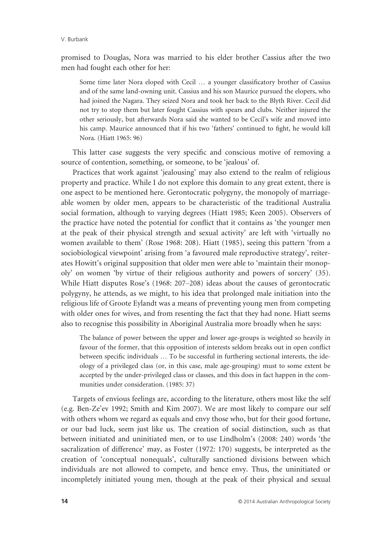promised to Douglas, Nora was married to his elder brother Cassius after the two men had fought each other for her:

Some time later Nora eloped with Cecil … a younger classificatory brother of Cassius and of the same land-owning unit. Cassius and his son Maurice pursued the elopers, who had joined the Nagara. They seized Nora and took her back to the Blyth River. Cecil did not try to stop them but later fought Cassius with spears and clubs. Neither injured the other seriously, but afterwards Nora said she wanted to be Cecil's wife and moved into his camp. Maurice announced that if his two 'fathers' continued to fight, he would kill Nora. (Hiatt 1965: 96)

This latter case suggests the very specific and conscious motive of removing a source of contention, something, or someone, to be 'jealous' of.

Practices that work against 'jealousing' may also extend to the realm of religious property and practice. While I do not explore this domain to any great extent, there is one aspect to be mentioned here. Gerontocratic polygyny, the monopoly of marriageable women by older men, appears to be characteristic of the traditional Australia social formation, although to varying degrees (Hiatt 1985; Keen 2005). Observers of the practice have noted the potential for conflict that it contains as 'the younger men at the peak of their physical strength and sexual activity' are left with 'virtually no women available to them' (Rose 1968: 208). Hiatt (1985), seeing this pattern 'from a sociobiological viewpoint' arising from 'a favoured male reproductive strategy', reiterates Howitt's original supposition that older men were able to 'maintain their monopoly' on women 'by virtue of their religious authority and powers of sorcery' (35). While Hiatt disputes Rose's (1968: 207–208) ideas about the causes of gerontocratic polygyny, he attends, as we might, to his idea that prolonged male initiation into the religious life of Groote Eylandt was a means of preventing young men from competing with older ones for wives, and from resenting the fact that they had none. Hiatt seems also to recognise this possibility in Aboriginal Australia more broadly when he says:

The balance of power between the upper and lower age-groups is weighted so heavily in favour of the former, that this opposition of interests seldom breaks out in open conflict between specific individuals … To be successful in furthering sectional interests, the ideology of a privileged class (or, in this case, male age-grouping) must to some extent be accepted by the under-privileged class or classes, and this does in fact happen in the communities under consideration. (1985: 37)

Targets of envious feelings are, according to the literature, others most like the self (e.g. Ben-Ze'ev 1992; Smith and Kim 2007). We are most likely to compare our self with others whom we regard as equals and envy those who, but for their good fortune, or our bad luck, seem just like us. The creation of social distinction, such as that between initiated and uninitiated men, or to use Lindholm's (2008: 240) words 'the sacralization of difference' may, as Foster (1972: 170) suggests, be interpreted as the creation of 'conceptual nonequals', culturally sanctioned divisions between which individuals are not allowed to compete, and hence envy. Thus, the uninitiated or incompletely initiated young men, though at the peak of their physical and sexual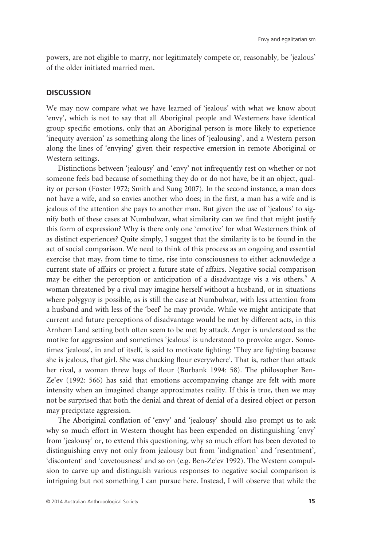powers, are not eligible to marry, nor legitimately compete or, reasonably, be 'jealous' of the older initiated married men.

## **DISCUSSION**

We may now compare what we have learned of 'jealous' with what we know about 'envy', which is not to say that all Aboriginal people and Westerners have identical group specific emotions, only that an Aboriginal person is more likely to experience 'inequity aversion' as something along the lines of 'jealousing', and a Western person along the lines of 'envying' given their respective emersion in remote Aboriginal or Western settings.

Distinctions between 'jealousy' and 'envy' not infrequently rest on whether or not someone feels bad because of something they do or do not have, be it an object, quality or person (Foster 1972; Smith and Sung 2007). In the second instance, a man does not have a wife, and so envies another who does; in the first, a man has a wife and is jealous of the attention she pays to another man. But given the use of 'jealous' to signify both of these cases at Numbulwar, what similarity can we find that might justify this form of expression? Why is there only one 'emotive' for what Westerners think of as distinct experiences? Quite simply, I suggest that the similarity is to be found in the act of social comparison. We need to think of this process as an ongoing and essential exercise that may, from time to time, rise into consciousness to either acknowledge a current state of affairs or project a future state of affairs. Negative social comparison may be either the perception or anticipation of a disadvantage vis a vis others.<sup>5</sup> A woman threatened by a rival may imagine herself without a husband, or in situations where polygyny is possible, as is still the case at Numbulwar, with less attention from a husband and with less of the 'beef' he may provide. While we might anticipate that current and future perceptions of disadvantage would be met by different acts, in this Arnhem Land setting both often seem to be met by attack. Anger is understood as the motive for aggression and sometimes 'jealous' is understood to provoke anger. Sometimes 'jealous', in and of itself, is said to motivate fighting: 'They are fighting because she is jealous, that girl. She was chucking flour everywhere'. That is, rather than attack her rival, a woman threw bags of flour (Burbank 1994: 58). The philosopher Ben-Ze'ev (1992: 566) has said that emotions accompanying change are felt with more intensity when an imagined change approximates reality. If this is true, then we may not be surprised that both the denial and threat of denial of a desired object or person may precipitate aggression.

The Aboriginal conflation of 'envy' and 'jealousy' should also prompt us to ask why so much effort in Western thought has been expended on distinguishing 'envy' from 'jealousy' or, to extend this questioning, why so much effort has been devoted to distinguishing envy not only from jealousy but from 'indignation' and 'resentment', 'discontent' and 'covetousness' and so on (e.g. Ben-Ze'ev 1992). The Western compulsion to carve up and distinguish various responses to negative social comparison is intriguing but not something I can pursue here. Instead, I will observe that while the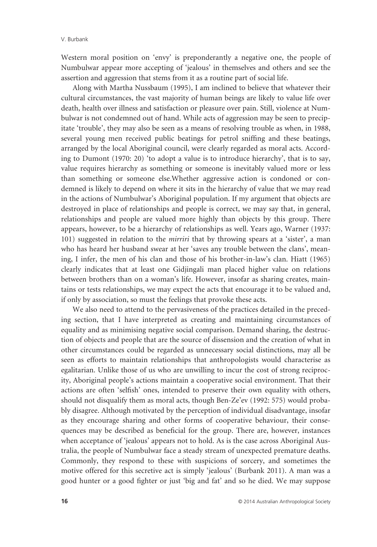Western moral position on 'envy' is preponderantly a negative one, the people of Numbulwar appear more accepting of 'jealous' in themselves and others and see the assertion and aggression that stems from it as a routine part of social life.

Along with Martha Nussbaum (1995), I am inclined to believe that whatever their cultural circumstances, the vast majority of human beings are likely to value life over death, health over illness and satisfaction or pleasure over pain. Still, violence at Numbulwar is not condemned out of hand. While acts of aggression may be seen to precipitate 'trouble', they may also be seen as a means of resolving trouble as when, in 1988, several young men received public beatings for petrol sniffing and these beatings, arranged by the local Aboriginal council, were clearly regarded as moral acts. According to Dumont (1970: 20) 'to adopt a value is to introduce hierarchy', that is to say, value requires hierarchy as something or someone is inevitably valued more or less than something or someone else.Whether aggressive action is condoned or condemned is likely to depend on where it sits in the hierarchy of value that we may read in the actions of Numbulwar's Aboriginal population. If my argument that objects are destroyed in place of relationships and people is correct, we may say that, in general, relationships and people are valued more highly than objects by this group. There appears, however, to be a hierarchy of relationships as well. Years ago, Warner (1937: 101) suggested in relation to the *mirriri* that by throwing spears at a 'sister', a man who has heard her husband swear at her 'saves any trouble between the clans', meaning, I infer, the men of his clan and those of his brother-in-law's clan. Hiatt (1965) clearly indicates that at least one Gidjingali man placed higher value on relations between brothers than on a woman's life. However, insofar as sharing creates, maintains or tests relationships, we may expect the acts that encourage it to be valued and, if only by association, so must the feelings that provoke these acts.

We also need to attend to the pervasiveness of the practices detailed in the preceding section, that I have interpreted as creating and maintaining circumstances of equality and as minimising negative social comparison. Demand sharing, the destruction of objects and people that are the source of dissension and the creation of what in other circumstances could be regarded as unnecessary social distinctions, may all be seen as efforts to maintain relationships that anthropologists would characterise as egalitarian. Unlike those of us who are unwilling to incur the cost of strong reciprocity, Aboriginal people's actions maintain a cooperative social environment. That their actions are often 'selfish' ones, intended to preserve their own equality with others, should not disqualify them as moral acts, though Ben-Ze'ev (1992: 575) would probably disagree. Although motivated by the perception of individual disadvantage, insofar as they encourage sharing and other forms of cooperative behaviour, their consequences may be described as beneficial for the group. There are, however, instances when acceptance of 'jealous' appears not to hold. As is the case across Aboriginal Australia, the people of Numbulwar face a steady stream of unexpected premature deaths. Commonly, they respond to these with suspicions of sorcery, and sometimes the motive offered for this secretive act is simply 'jealous' (Burbank 2011). A man was a good hunter or a good fighter or just 'big and fat' and so he died. We may suppose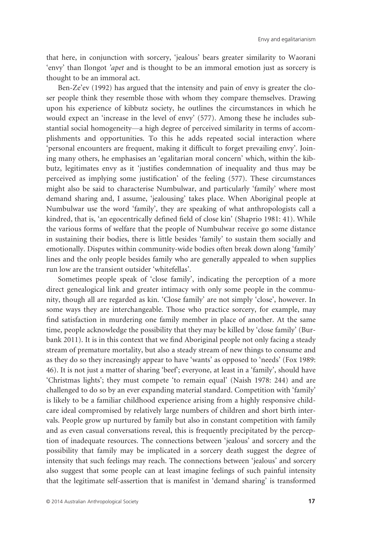that here, in conjunction with sorcery, 'jealous' bears greater similarity to Waorani 'envy' than Ilongot 'apet and is thought to be an immoral emotion just as sorcery is thought to be an immoral act.

Ben-Ze'ev (1992) has argued that the intensity and pain of envy is greater the closer people think they resemble those with whom they compare themselves. Drawing upon his experience of kibbutz society, he outlines the circumstances in which he would expect an 'increase in the level of envy' (577). Among these he includes substantial social homogeneity—a high degree of perceived similarity in terms of accomplishments and opportunities. To this he adds repeated social interaction where 'personal encounters are frequent, making it difficult to forget prevailing envy'. Joining many others, he emphasises an 'egalitarian moral concern' which, within the kibbutz, legitimates envy as it 'justifies condemnation of inequality and thus may be perceived as implying some justification' of the feeling (577). These circumstances might also be said to characterise Numbulwar, and particularly 'family' where most demand sharing and, I assume, 'jealousing' takes place. When Aboriginal people at Numbulwar use the word 'family', they are speaking of what anthropologists call a kindred, that is, 'an egocentrically defined field of close kin' (Shaprio 1981: 41). While the various forms of welfare that the people of Numbulwar receive go some distance in sustaining their bodies, there is little besides 'family' to sustain them socially and emotionally. Disputes within community-wide bodies often break down along 'family' lines and the only people besides family who are generally appealed to when supplies run low are the transient outsider 'whitefellas'.

Sometimes people speak of 'close family', indicating the perception of a more direct genealogical link and greater intimacy with only some people in the community, though all are regarded as kin. 'Close family' are not simply 'close', however. In some ways they are interchangeable. Those who practice sorcery, for example, may find satisfaction in murdering one family member in place of another. At the same time, people acknowledge the possibility that they may be killed by 'close family' (Burbank 2011). It is in this context that we find Aboriginal people not only facing a steady stream of premature mortality, but also a steady stream of new things to consume and as they do so they increasingly appear to have 'wants' as opposed to 'needs' (Fox 1989: 46). It is not just a matter of sharing 'beef'; everyone, at least in a 'family', should have 'Christmas lights'; they must compete 'to remain equal' (Naish 1978: 244) and are challenged to do so by an ever expanding material standard. Competition with 'family' is likely to be a familiar childhood experience arising from a highly responsive childcare ideal compromised by relatively large numbers of children and short birth intervals. People grow up nurtured by family but also in constant competition with family and as even casual conversations reveal, this is frequently precipitated by the perception of inadequate resources. The connections between 'jealous' and sorcery and the possibility that family may be implicated in a sorcery death suggest the degree of intensity that such feelings may reach. The connections between 'jealous' and sorcery also suggest that some people can at least imagine feelings of such painful intensity that the legitimate self-assertion that is manifest in 'demand sharing' is transformed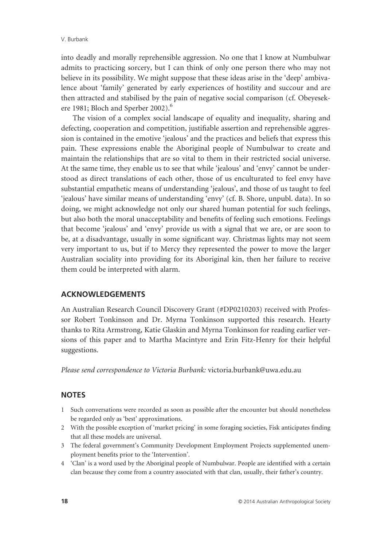into deadly and morally reprehensible aggression. No one that I know at Numbulwar admits to practicing sorcery, but I can think of only one person there who may not believe in its possibility. We might suppose that these ideas arise in the 'deep' ambivalence about 'family' generated by early experiences of hostility and succour and are then attracted and stabilised by the pain of negative social comparison (cf. Obeyesekere 1981; Bloch and Sperber 2002).<sup>6</sup>

The vision of a complex social landscape of equality and inequality, sharing and defecting, cooperation and competition, justifiable assertion and reprehensible aggression is contained in the emotive 'jealous' and the practices and beliefs that express this pain. These expressions enable the Aboriginal people of Numbulwar to create and maintain the relationships that are so vital to them in their restricted social universe. At the same time, they enable us to see that while 'jealous' and 'envy' cannot be understood as direct translations of each other, those of us enculturated to feel envy have substantial empathetic means of understanding 'jealous', and those of us taught to feel 'jealous' have similar means of understanding 'envy' (cf. B. Shore, unpubl. data). In so doing, we might acknowledge not only our shared human potential for such feelings, but also both the moral unacceptability and benefits of feeling such emotions. Feelings that become 'jealous' and 'envy' provide us with a signal that we are, or are soon to be, at a disadvantage, usually in some significant way. Christmas lights may not seem very important to us, but if to Mercy they represented the power to move the larger Australian sociality into providing for its Aboriginal kin, then her failure to receive them could be interpreted with alarm.

## ACKNOWLEDGEMENTS

An Australian Research Council Discovery Grant (#DP0210203) received with Professor Robert Tonkinson and Dr. Myrna Tonkinson supported this research. Hearty thanks to Rita Armstrong, Katie Glaskin and Myrna Tonkinson for reading earlier versions of this paper and to Martha Macintyre and Erin Fitz-Henry for their helpful suggestions.

Please send correspondence to Victoria Burbank: victoria.burbank@uwa.edu.au

### **NOTES**

- 1 Such conversations were recorded as soon as possible after the encounter but should nonetheless be regarded only as 'best' approximations.
- 2 With the possible exception of 'market pricing' in some foraging societies, Fisk anticipates finding that all these models are universal.
- 3 The federal government's Community Development Employment Projects supplemented unemployment benefits prior to the 'Intervention'.
- 4 'Clan' is a word used by the Aboriginal people of Numbulwar. People are identified with a certain clan because they come from a country associated with that clan, usually, their father's country.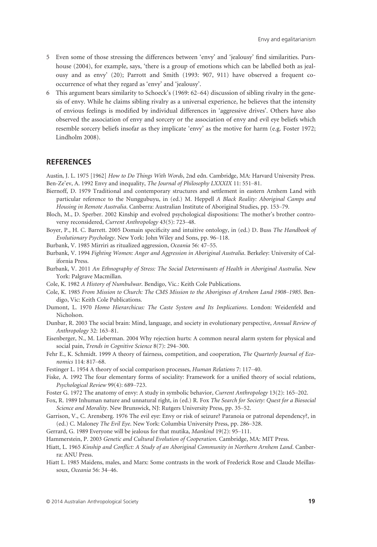- 5 Even some of those stressing the differences between 'envy' and 'jealousy' find similarities. Purshouse (2004), for example, says, 'there is a group of emotions which can be labelled both as jealousy and as envy' (20); Parrott and Smith (1993: 907, 911) have observed a frequent cooccurrence of what they regard as 'envy' and 'jealousy'.
- 6 This argument bears similarity to Schoeck's (1969: 62–64) discussion of sibling rivalry in the genesis of envy. While he claims sibling rivalry as a universal experience, he believes that the intensity of envious feelings is modified by individual differences in 'aggressive drives'. Others have also observed the association of envy and sorcery or the association of envy and evil eye beliefs which resemble sorcery beliefs insofar as they implicate 'envy' as the motive for harm (e.g. Foster 1972; Lindholm 2008).

#### **REFERENCES**

Austin, J. L. 1975 [1962] How to Do Things With Words, 2nd edn. Cambridge, MA: Harvard University Press. Ben-Ze'ev, A. 1992 Envy and inequality, The Journal of Philosophy LXXXIX 11: 551–81.

- Biernoff, D. 1979 Traditional and contemporary structures and settlement in eastern Arnhem Land with particular reference to the Nunggubuyu, in (ed.) M. Heppell A Black Reality: Aboriginal Camps and Housing in Remote Australia. Canberra: Australian Institute of Aboriginal Studies, pp. 153–79.
- Bloch, M., D. Sperber. 2002 Kinship and evolved psychological dispositions: The mother's brother controversy reconsidered, Current Anthropology 43(5): 723–48.

Boyer, P., H. C. Barrett. 2005 Domain specificity and intuitive ontology, in (ed.) D. Buss The Handbook of Evolutionary Psychology. New York: John Wiley and Sons, pp. 96–118.

Burbank, V. 1985 Mirriri as ritualized aggression, Oceania 56: 47–55.

- Burbank, V. 1994 Fighting Women: Anger and Aggression in Aboriginal Australia. Berkeley: University of California Press.
- Burbank, V. 2011 An Ethnography of Stress: The Social Determinants of Health in Aboriginal Australia. New York: Palgrave Macmillan.

Cole, K. 1982 A History of Numbulwar. Bendigo, Vic.: Keith Cole Publications.

- Cole, K. 1985 From Mission to Church: The CMS Mission to the Aborigines of Arnhem Land 1908–1985. Bendigo, Vic: Keith Cole Publications.
- Dumont, L. 1970 Homo Hierarchicus: The Caste System and Its Implications. London: Weidenfeld and Nicholson.
- Dunbar, R. 2003 The social brain: Mind, language, and society in evolutionary perspective, Annual Review of Anthropology 32: 163–81.
- Eisenberger, N., M. Lieberman. 2004 Why rejection hurts: A common neural alarm system for physical and social pain, Trends in Cognitive Science 8(7): 294–300.
- Fehr E., K. Schmidt. 1999 A theory of fairness, competition, and cooperation, The Quarterly Journal of Economics 114: 817–68.
- Festinger L. 1954 A theory of social comparison processes, Human Relations 7: 117–40.
- Fiske, A. 1992 The four elementary forms of sociality: Framework for a unified theory of social relations, Psychological Review 99(4): 689–723.
- Foster G. 1972 The anatomy of envy: A study in symbolic behavior, Current Anthropology 13(2): 165–202.
- Fox, R. 1989 Inhuman nature and unnatural right, in (ed.) R. Fox The Search for Society: Quest for a Biosocial Science and Morality. New Brunswick, NJ: Rutgers University Press, pp. 35–52.
- Garrison, V., C. Arensberg. 1976 The evil eye: Envy or risk of seizure? Paranoia or patronal dependency?, in (ed.) C. Maloney The Evil Eye. New York: Columbia University Press, pp. 286–328.
- Gerrard, G. 1989 Everyone will be jealous for that mutika, Mankind 19(2): 95–111.
- Hammerstein, P. 2003 Genetic and Cultural Evolution of Cooperation. Cambridge, MA: MIT Press.
- Hiatt, L. 1965 Kinship and Conflict: A Study of an Aboriginal Community in Northern Arnhem Land. Canberra: ANU Press.
- Hiatt L. 1985 Maidens, males, and Marx: Some contrasts in the work of Frederick Rose and Claude Meillassoux, Oceania 56: 34–46.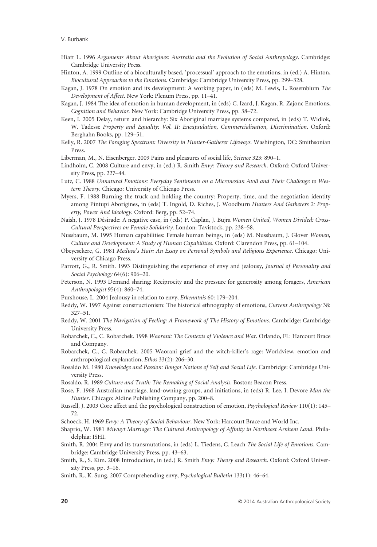- Hiatt L. 1996 Arguments About Aborigines: Australia and the Evolution of Social Anthropology. Cambridge: Cambridge University Press.
- Hinton, A. 1999 Outline of a bioculturally based, 'processual' approach to the emotions, in (ed.) A. Hinton, Biocultural Approaches to the Emotions. Cambridge: Cambridge University Press, pp. 299–328.
- Kagan, J. 1978 On emotion and its development: A working paper, in (eds) M. Lewis, L. Rosemblum The Development of Affect. New York: Plenum Press, pp. 11–41.
- Kagan, J. 1984 The idea of emotion in human development, in (eds) C. Izard, J. Kagan, R. Zajonc Emotions, Cognition and Behavior. New York: Cambridge University Press, pp. 38–72.
- Keen, I. 2005 Delay, return and hierarchy: Six Aboriginal marriage systems compared, in (eds) T. Widlok, W. Tadesse Property and Equality: Vol. II: Encapsulation, Commercialisation, Discrimination. Oxford: Berghahn Books, pp. 129–51.
- Kelly, R. 2007 The Foraging Spectrum: Diversity in Hunter-Gatherer Lifeways. Washington, DC: Smithsonian Press.
- Liberman, M., N. Eisenberger. 2009 Pains and pleasures of social life, Science 323: 890-1.
- Lindholm, C. 2008 Culture and envy, in (ed.) R. Smith Envy: Theory and Research. Oxford: Oxford University Press, pp. 227–44.
- Lutz, C. 1988 Unnatural Emotions: Everyday Sentiments on a Micronesian Atoll and Their Challenge to Western Theory. Chicago: University of Chicago Press.
- Myers, F. 1988 Burning the truck and holding the country: Property, time, and the negotiation identity among Pintupi Aborigines, in (eds) T. Ingold, D. Riches, J. Woodburn Hunters And Gatherers 2: Property, Power And Ideology. Oxford: Berg, pp. 52–74.
- Naish, J. 1978 Désirade: A negative case, in (eds) P. Caplan, J. Bujra Women United, Women Divided: Cross-Cultural Perspectives on Female Solidarity. London: Tavistock, pp. 238–58.
- Nussbaum, M. 1995 Human capabilities: Female human beings, in (eds) M. Nussbaum, J. Glover Women, Culture and Development: A Study of Human Capabilities. Oxford: Clarendon Press, pp. 61–104.
- Obeyesekere, G. 1981 Medusa's Hair: An Essay on Personal Symbols and Religious Experience. Chicago: University of Chicago Press.
- Parrott, G., R. Smith. 1993 Distinguishing the experience of envy and jealousy, Journal of Personality and Social Psychology 64(6): 906–20.
- Peterson, N. 1993 Demand sharing: Reciprocity and the pressure for generosity among foragers, American Anthropologist 95(4): 860–74.
- Purshouse, L. 2004 Jealousy in relation to envy, Erkenntnis 60: 179–204.
- Reddy, W. 1997 Against constructionism: The historical ethnography of emotions, Current Anthropology 38: 327–51.
- Reddy, W. 2001 The Navigation of Feeling: A Framework of The History of Emotions. Cambridge: Cambridge University Press.
- Robarchek, C., C. Robarchek. 1998 Waorani: The Contexts of Violence and War. Orlando, FL: Harcourt Brace and Company.
- Robarchek, C., C. Robarchek. 2005 Waorani grief and the witch-killer's rage: Worldview, emotion and anthropological explanation, Ethos 33(2): 206–30.
- Rosaldo M. 1980 Knowledge and Passion: Ilongot Notions of Self and Social Life. Cambridge: Cambridge University Press.
- Rosaldo, R. 1989 Culture and Truth: The Remaking of Social Analysis. Boston: Beacon Press.
- Rose, F. 1968 Australian marriage, land-owning groups, and initiations, in (eds) R. Lee, I. Devore Man the Hunter. Chicago: Aldine Publishing Company, pp. 200–8.
- Russell, J. 2003 Core affect and the psychological construction of emotion, Psychological Review 110(1): 145– 72.
- Schoeck, H. 1969 Envy: A Theory of Social Behaviour. New York: Harcourt Brace and World Inc.
- Shaprio, W. 1981 Miwuyt Marriage: The Cultural Anthropology of Affinity in Northeast Arnhem Land. Philadelphia: ISHI.
- Smith, R. 2004 Envy and its transmutations, in (eds) L. Tiedens, C. Leach The Social Life of Emotions. Cambridge: Cambridge University Press, pp. 43–63.
- Smith, R., S. Kim. 2008 Introduction, in (ed.) R. Smith Envy: Theory and Research. Oxford: Oxford University Press, pp. 3–16.
- Smith, R., K. Sung. 2007 Comprehending envy, Psychological Bulletin 133(1): 46–64.